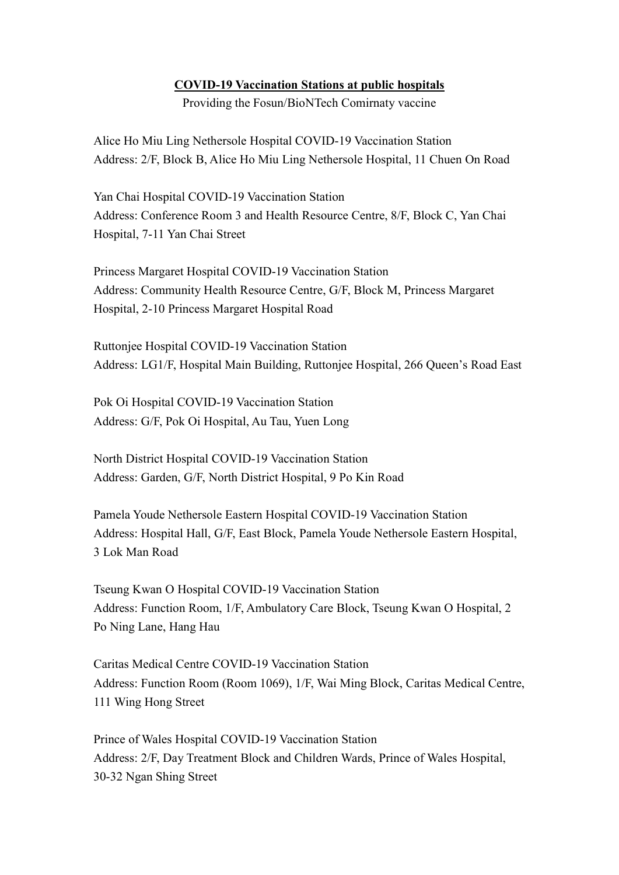## COVID-19 Vaccination Stations at public hospitals

Providing the Fosun/BioNTech Comirnaty vaccine

Alice Ho Miu Ling Nethersole Hospital COVID-19 Vaccination Station Address: 2/F, Block B, Alice Ho Miu Ling Nethersole Hospital, 11 Chuen On Road

Yan Chai Hospital COVID-19 Vaccination Station Address: Conference Room 3 and Health Resource Centre, 8/F, Block C, Yan Chai Hospital, 7-11 Yan Chai Street

Princess Margaret Hospital COVID-19 Vaccination Station Address: Community Health Resource Centre, G/F, Block M, Princess Margaret Hospital, 2-10 Princess Margaret Hospital Road

Ruttonjee Hospital COVID-19 Vaccination Station Address: LG1/F, Hospital Main Building, Ruttonjee Hospital, 266 Queen's Road East

Pok Oi Hospital COVID-19 Vaccination Station Address: G/F, Pok Oi Hospital, Au Tau, Yuen Long

North District Hospital COVID-19 Vaccination Station Address: Garden, G/F, North District Hospital, 9 Po Kin Road

Pamela Youde Nethersole Eastern Hospital COVID-19 Vaccination Station Address: Hospital Hall, G/F, East Block, Pamela Youde Nethersole Eastern Hospital, 3 Lok Man Road

Tseung Kwan O Hospital COVID-19 Vaccination Station Address: Function Room, 1/F, Ambulatory Care Block, Tseung Kwan O Hospital, 2 Po Ning Lane, Hang Hau

Caritas Medical Centre COVID-19 Vaccination Station Address: Function Room (Room 1069), 1/F, Wai Ming Block, Caritas Medical Centre, 111 Wing Hong Street

Prince of Wales Hospital COVID-19 Vaccination Station Address: 2/F, Day Treatment Block and Children Wards, Prince of Wales Hospital, 30-32 Ngan Shing Street